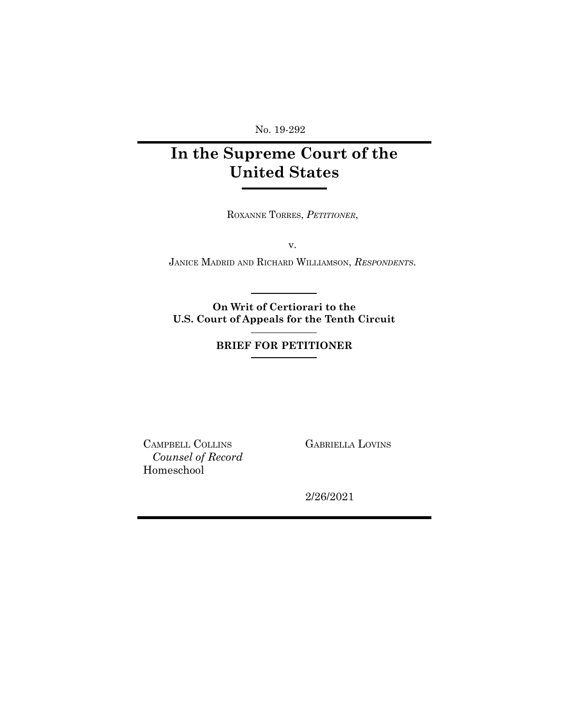No. 19-292

# **In the Supreme Court of the United States**

ROXANNE TORRES, *PETITIONER*,

v.

JANICE MADRID AND RICHARD WILLIAMSON, *RESPONDENTS*.

**On Writ of Certiorari to the U.S. Court of Appeals for the Tenth Circuit**

## **BRIEF FOR PETITIONER**

CAMPBELL COLLINS *Counsel of Record* Homeschool

GABRIELLA LOVINS

2/26/2021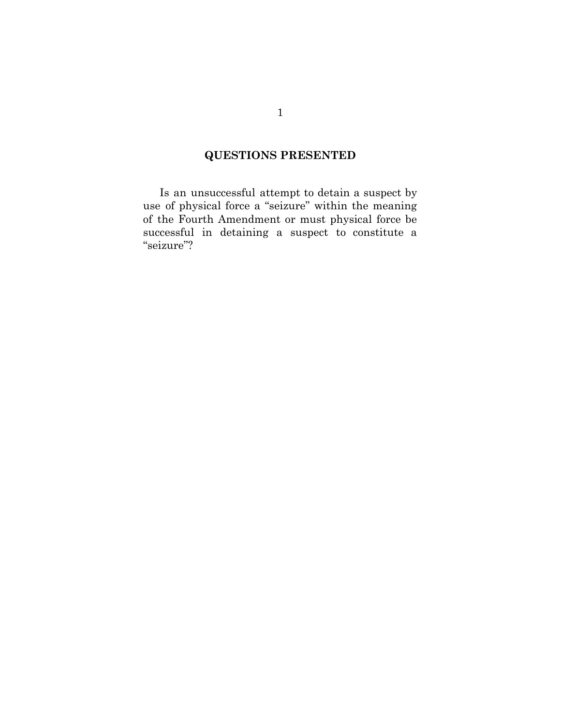## **QUESTIONS PRESENTED**

Is an unsuccessful attempt to detain a suspect by use of physical force a "seizure" within the meaning of the Fourth Amendment or must physical force be successful in detaining a suspect to constitute a "seizure"?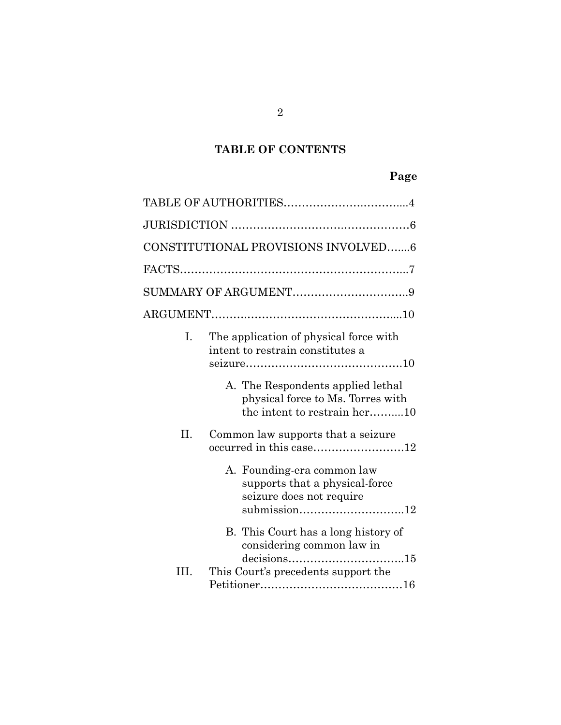## **TABLE OF CONTENTS**

## **Page**

|     | CONSTITUTIONAL PROVISIONS INVOLVED6                                                                    |
|-----|--------------------------------------------------------------------------------------------------------|
|     |                                                                                                        |
|     |                                                                                                        |
|     |                                                                                                        |
| I.  | The application of physical force with<br>intent to restrain constitutes a                             |
|     | A. The Respondents applied lethal<br>physical force to Ms. Torres with<br>the intent to restrain her10 |
| II. | Common law supports that a seizure<br>occurred in this case12                                          |
|     | A. Founding-era common law<br>supports that a physical-force<br>seizure does not require               |
|     | B. This Court has a long history of<br>considering common law in                                       |
| Ш.  | This Court's precedents support the                                                                    |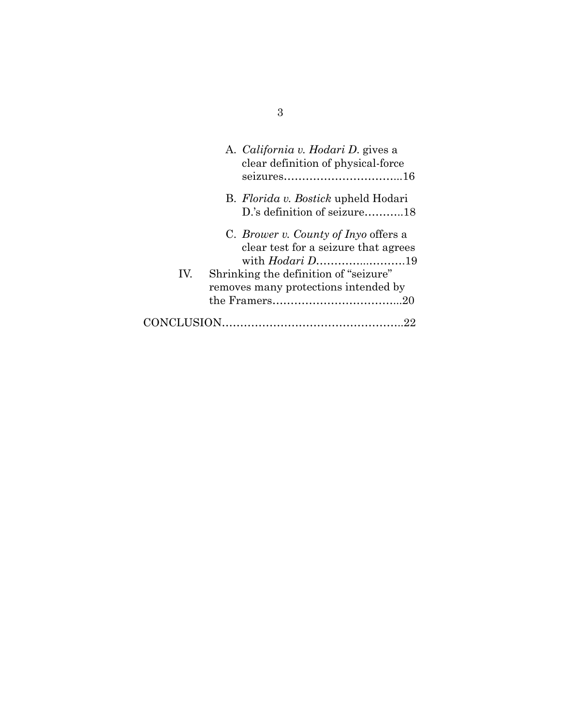|     | A. California v. Hodari D. gives a<br>clear definition of physical-force                                                                                             |
|-----|----------------------------------------------------------------------------------------------------------------------------------------------------------------------|
|     | B. Florida v. Bostick upheld Hodari<br>D.'s definition of seizure18                                                                                                  |
| IV. | C. <i>Brower v. County of Inyo</i> offers a<br>clear test for a seizure that agrees<br>Shrinking the definition of "seizure"<br>removes many protections intended by |
|     |                                                                                                                                                                      |
|     |                                                                                                                                                                      |

3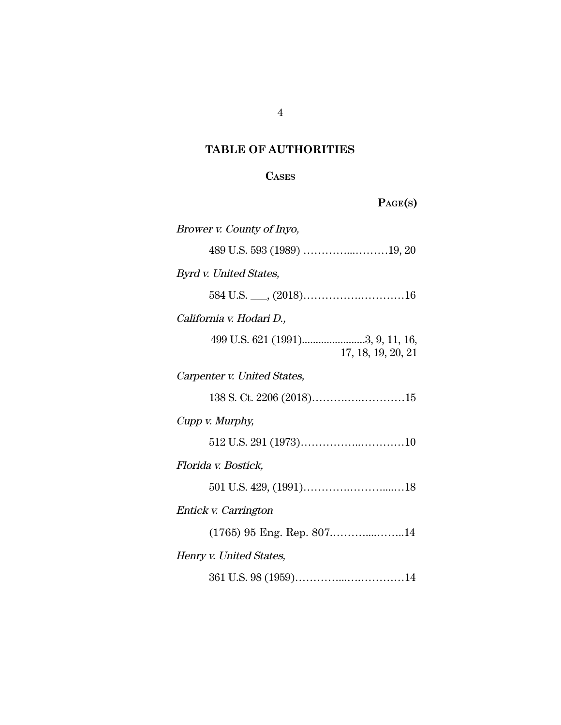## **TABLE OF AUTHORITIES**

## **CASES**

| AGEO |
|------|
|------|

| Brower v. County of Inyo,                              |
|--------------------------------------------------------|
|                                                        |
| Byrd v. United States,                                 |
|                                                        |
| California v. Hodari D.,                               |
| 499 U.S. 621 (1991)3, 9, 11, 16,<br>17, 18, 19, 20, 21 |
| Carpenter v. United States,                            |
|                                                        |
| Cupp v. Murphy,                                        |
|                                                        |
| Florida v. Bostick,                                    |
|                                                        |
| Entick v. Carrington                                   |
|                                                        |
| Henry v. United States,                                |
|                                                        |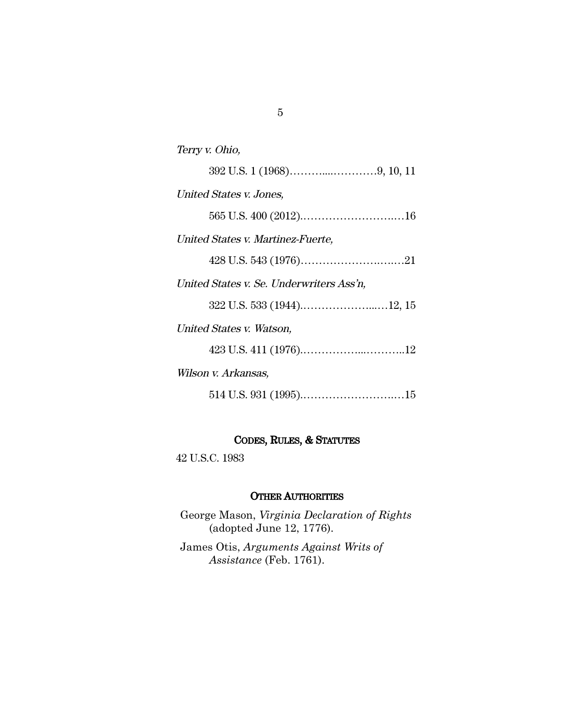| Terry v. Ohio,                           |
|------------------------------------------|
|                                          |
| United States v. Jones,                  |
|                                          |
| United States v. Martinez-Fuerte,        |
|                                          |
| United States v. Se. Underwriters Ass'n, |
|                                          |
| United States v. Watson,                 |
|                                          |
| Wilson v. Arkansas,                      |
|                                          |

## CODES, RULES, & STATUTES

42 U.S.C. 1983

## OTHER AUTHORITIES

George Mason, *Virginia Declaration of Rights* (adopted June 12, 1776).

James Otis, *Arguments Against Writs of Assistance* (Feb. 1761).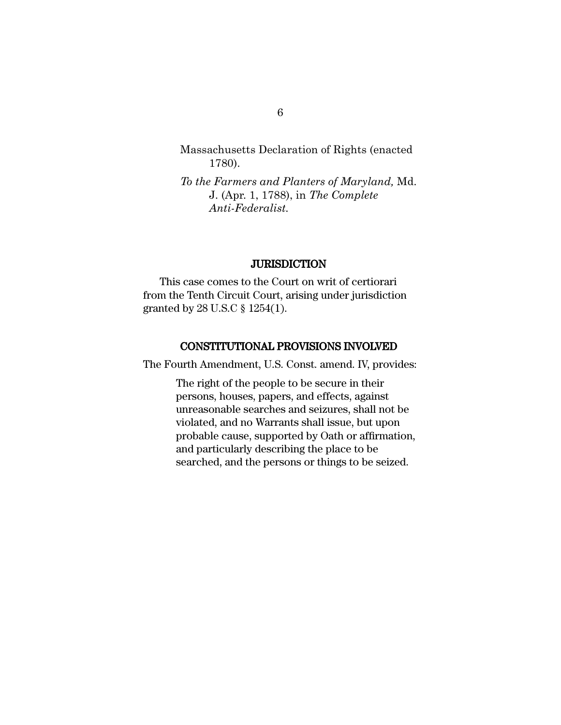Massachusetts Declaration of Rights (enacted 1780).

*To the Farmers and Planters of Maryland,* Md. J. (Apr. 1, 1788), in *The Complete Anti-Federalist.*

#### **JURISDICTION**

This case comes to the Court on writ of certiorari from the Tenth Circuit Court, arising under jurisdiction granted by 28 U.S.C § 1254(1).

#### CONSTITUTIONAL PROVISIONS INVOLVED

The Fourth Amendment, U.S. Const. amend. IV, provides:

The right of the people to be secure in their persons, houses, papers, and effects, against unreasonable searches and seizures, shall not be violated, and no Warrants shall issue, but upon probable cause, supported by Oath or affirmation, and particularly describing the place to be searched, and the persons or things to be seized.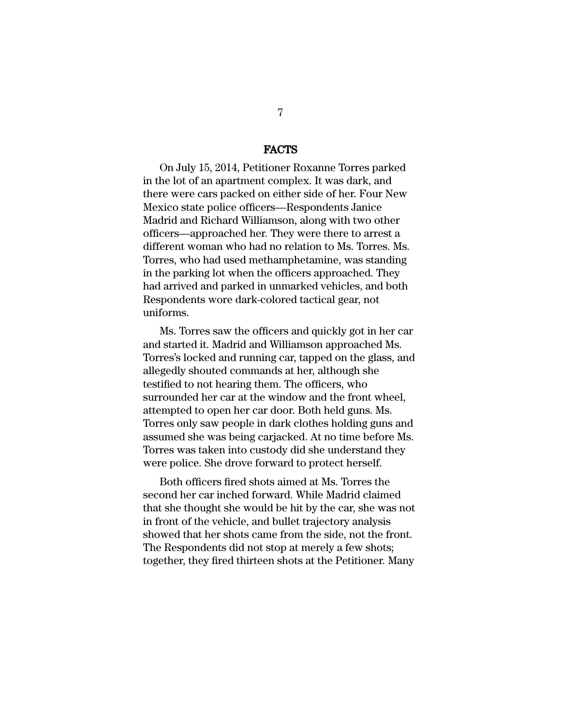#### FACTS

On July 15, 2014, Petitioner Roxanne Torres parked in the lot of an apartment complex. It was dark, and there were cars packed on either side of her. Four New Mexico state police officers—Respondents Janice Madrid and Richard Williamson, along with two other officers—approached her. They were there to arrest a different woman who had no relation to Ms. Torres. Ms. Torres, who had used methamphetamine, was standing in the parking lot when the officers approached. They had arrived and parked in unmarked vehicles, and both Respondents wore dark-colored tactical gear, not uniforms.

Ms. Torres saw the officers and quickly got in her car and started it. Madrid and Williamson approached Ms. Torres's locked and running car, tapped on the glass, and allegedly shouted commands at her, although she testified to not hearing them. The officers, who surrounded her car at the window and the front wheel, attempted to open her car door. Both held guns. Ms. Torres only saw people in dark clothes holding guns and assumed she was being carjacked. At no time before Ms. Torres was taken into custody did she understand they were police. She drove forward to protect herself.

Both officers fired shots aimed at Ms. Torres the second her car inched forward. While Madrid claimed that she thought she would be hit by the car, she was not in front of the vehicle, and bullet trajectory analysis showed that her shots came from the side, not the front. The Respondents did not stop at merely a few shots; together, they fired thirteen shots at the Petitioner. Many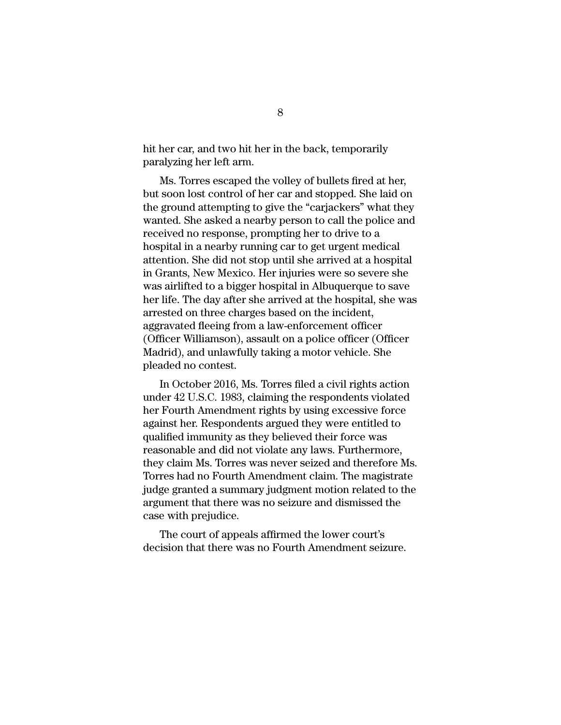hit her car, and two hit her in the back, temporarily paralyzing her left arm.

Ms. Torres escaped the volley of bullets fired at her, but soon lost control of her car and stopped. She laid on the ground attempting to give the "carjackers" what they wanted. She asked a nearby person to call the police and received no response, prompting her to drive to a hospital in a nearby running car to get urgent medical attention. She did not stop until she arrived at a hospital in Grants, New Mexico. Her injuries were so severe she was airlifted to a bigger hospital in Albuquerque to save her life. The day after she arrived at the hospital, she was arrested on three charges based on the incident, aggravated fleeing from a law-enforcement officer (Officer Williamson), assault on a police officer (Officer Madrid), and unlawfully taking a motor vehicle. She pleaded no contest.

In October 2016, Ms. Torres filed a civil rights action under 42 U.S.C. 1983, claiming the respondents violated her Fourth Amendment rights by using excessive force against her. Respondents argued they were entitled to qualified immunity as they believed their force was reasonable and did not violate any laws. Furthermore, they claim Ms. Torres was never seized and therefore Ms. Torres had no Fourth Amendment claim. The magistrate judge granted a summary judgment motion related to the argument that there was no seizure and dismissed the case with prejudice.

The court of appeals affirmed the lower court's decision that there was no Fourth Amendment seizure.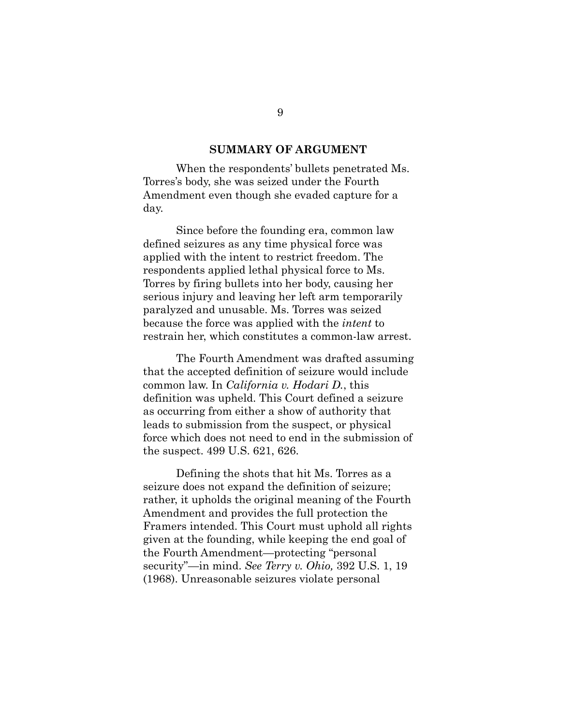#### **SUMMARY OF ARGUMENT**

When the respondents' bullets penetrated Ms. Torres's body, she was seized under the Fourth Amendment even though she evaded capture for a day.

Since before the founding era, common law defined seizures as any time physical force was applied with the intent to restrict freedom. The respondents applied lethal physical force to Ms. Torres by firing bullets into her body, causing her serious injury and leaving her left arm temporarily paralyzed and unusable. Ms. Torres was seized because the force was applied with the *intent* to restrain her, which constitutes a common-law arrest.

The Fourth Amendment was drafted assuming that the accepted definition of seizure would include common law. In *California v. Hodari D.*, this definition was upheld. This Court defined a seizure as occurring from either a show of authority that leads to submission from the suspect, or physical force which does not need to end in the submission of the suspect. 499 U.S. 621, 626.

Defining the shots that hit Ms. Torres as a seizure does not expand the definition of seizure; rather, it upholds the original meaning of the Fourth Amendment and provides the full protection the Framers intended. This Court must uphold all rights given at the founding, while keeping the end goal of the Fourth Amendment—protecting "personal security"—in mind. *See Terry v. Ohio,* 392 U.S. 1, 19 (1968). Unreasonable seizures violate personal

9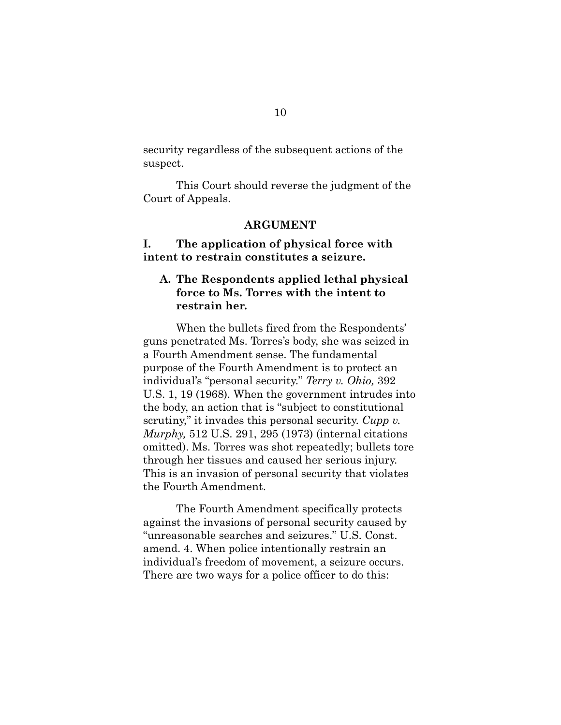security regardless of the subsequent actions of the suspect.

This Court should reverse the judgment of the Court of Appeals.

#### **ARGUMENT**

**I. The application of physical force with intent to restrain constitutes a seizure.**

## **A. The Respondents applied lethal physical force to Ms. Torres with the intent to restrain her.**

When the bullets fired from the Respondents' guns penetrated Ms. Torres's body, she was seized in a Fourth Amendment sense. The fundamental purpose of the Fourth Amendment is to protect an individual's "personal security." *Terry v. Ohio,* 392 U.S. 1, 19 (1968)*.* When the government intrudes into the body, an action that is "subject to constitutional scrutiny," it invades this personal security. *Cupp v. Murphy,* 512 U.S. 291, 295 (1973) (internal citations omitted). Ms. Torres was shot repeatedly; bullets tore through her tissues and caused her serious injury. This is an invasion of personal security that violates the Fourth Amendment.

The Fourth Amendment specifically protects against the invasions of personal security caused by "unreasonable searches and seizures." U.S. Const. amend. 4. When police intentionally restrain an individual's freedom of movement, a seizure occurs. There are two ways for a police officer to do this: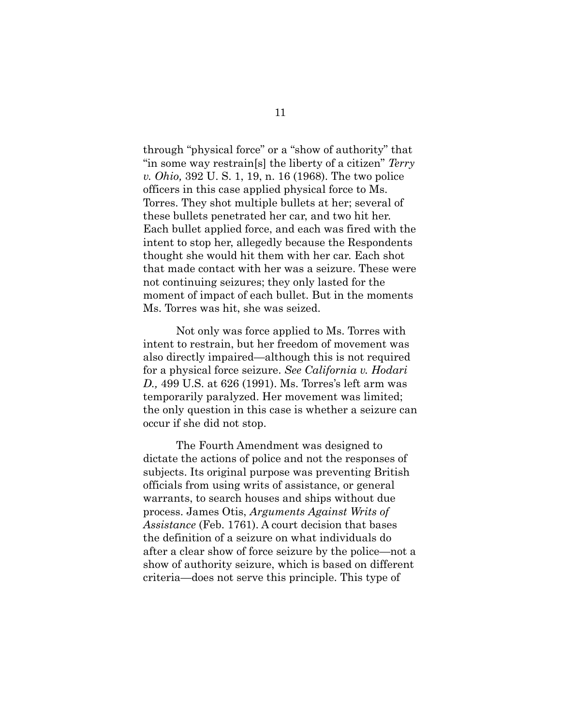through "physical force" or a "show of authority" that "in some way restrain[s] the liberty of a citizen" *Terry v. Ohio,* 392 U. S. 1, 19, n. 16 (1968). The two police officers in this case applied physical force to Ms. Torres. They shot multiple bullets at her; several of these bullets penetrated her car, and two hit her. Each bullet applied force, and each was fired with the intent to stop her, allegedly because the Respondents thought she would hit them with her car. Each shot that made contact with her was a seizure. These were not continuing seizures; they only lasted for the moment of impact of each bullet. But in the moments Ms. Torres was hit, she was seized.

Not only was force applied to Ms. Torres with intent to restrain, but her freedom of movement was also directly impaired—although this is not required for a physical force seizure. *See California v. Hodari D.,* 499 U.S. at 626 (1991). Ms. Torres's left arm was temporarily paralyzed. Her movement was limited; the only question in this case is whether a seizure can occur if she did not stop.

The Fourth Amendment was designed to dictate the actions of police and not the responses of subjects. Its original purpose was preventing British officials from using writs of assistance, or general warrants, to search houses and ships without due process. James Otis, *Arguments Against Writs of Assistance* (Feb. 1761). A court decision that bases the definition of a seizure on what individuals do after a clear show of force seizure by the police—not a show of authority seizure, which is based on different criteria—does not serve this principle. This type of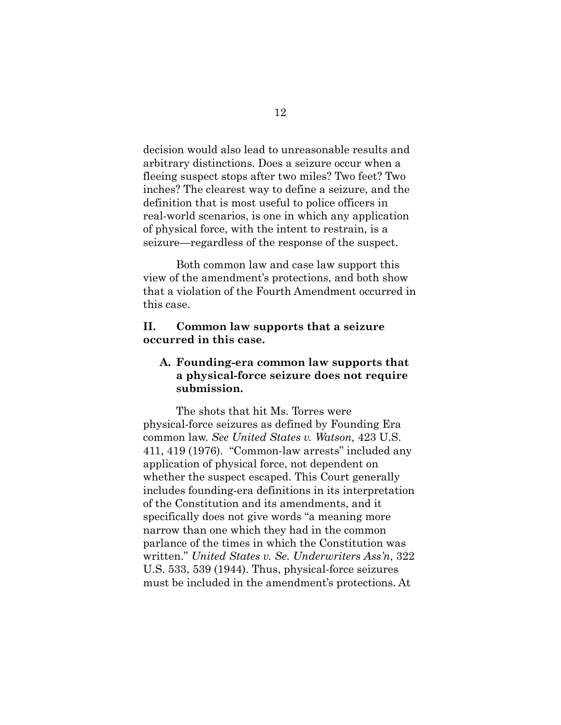decision would also lead to unreasonable results and arbitrary distinctions. Does a seizure occur when a fleeing suspect stops after two miles? Two feet? Two inches? The clearest way to define a seizure, and the definition that is most useful to police officers in real-world scenarios, is one in which any application of physical force, with the intent to restrain, is a seizure—regardless of the response of the suspect.

Both common law and case law support this view of the amendment's protections, and both show that a violation of the Fourth Amendment occurred in this case.

## **II. Common law supports that a seizure occurred in this case.**

## **A. Founding-era common law supports that a physical-force seizure does not require submission.**

The shots that hit Ms. Torres were physical-force seizures as defined by Founding Era common law. *See United States v. Watson,* 423 U.S. 411, 419 (1976). "Common-law arrests" included any application of physical force, not dependent on whether the suspect escaped. This Court generally includes founding-era definitions in its interpretation of the Constitution and its amendments, and it specifically does not give words "a meaning more narrow than one which they had in the common parlance of the times in which the Constitution was written." *United States v. Se. Underwriters Ass'n*, 322 U.S. 533, 539 (1944). Thus, physical-force seizures must be included in the amendment's protections. At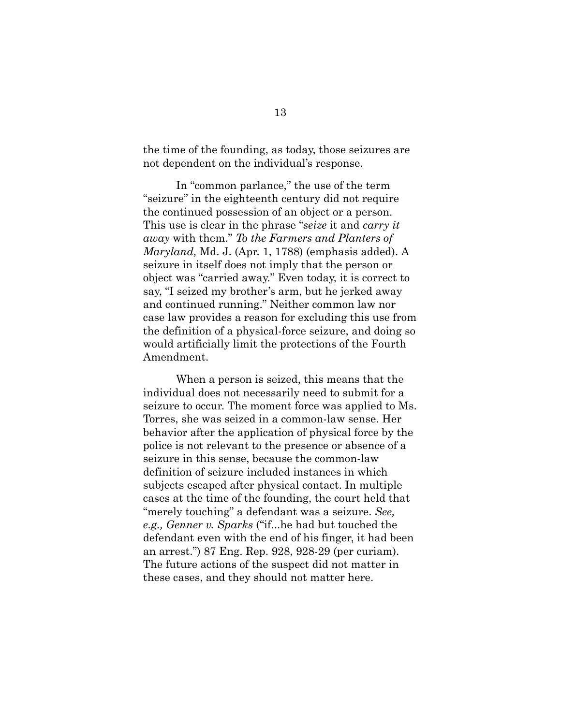the time of the founding, as today, those seizures are not dependent on the individual's response.

In "common parlance," the use of the term "seizure" in the eighteenth century did not require the continued possession of an object or a person. This use is clear in the phrase "*seize* it and *carry it away* with them." *To the Farmers and Planters of Maryland,* Md. J. (Apr. 1, 1788) (emphasis added). A seizure in itself does not imply that the person or object was "carried away." Even today, it is correct to say, "I seized my brother's arm, but he jerked away and continued running." Neither common law nor case law provides a reason for excluding this use from the definition of a physical-force seizure, and doing so would artificially limit the protections of the Fourth Amendment.

When a person is seized, this means that the individual does not necessarily need to submit for a seizure to occur. The moment force was applied to Ms. Torres, she was seized in a common-law sense. Her behavior after the application of physical force by the police is not relevant to the presence or absence of a seizure in this sense, because the common-law definition of seizure included instances in which subjects escaped after physical contact. In multiple cases at the time of the founding, the court held that "merely touching" a defendant was a seizure. *See, e.g., Genner v. Sparks* ("if...he had but touched the defendant even with the end of his finger, it had been an arrest.") 87 Eng. Rep. 928, 928-29 (per curiam). The future actions of the suspect did not matter in these cases, and they should not matter here.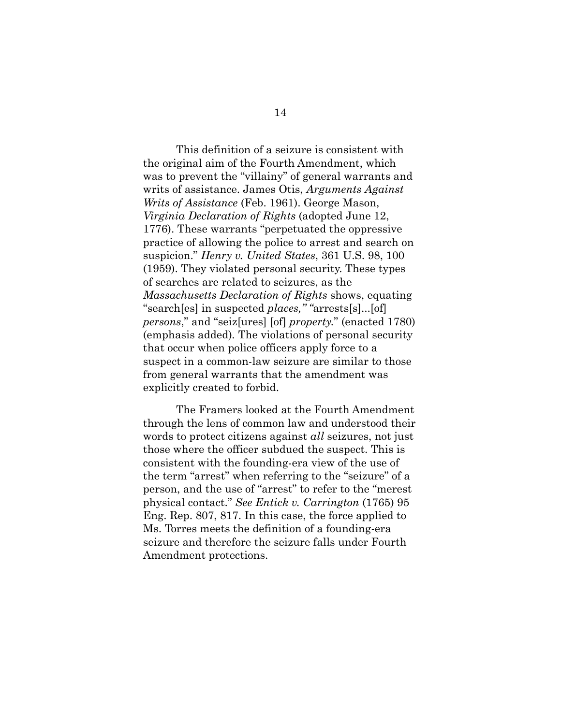This definition of a seizure is consistent with the original aim of the Fourth Amendment, which was to prevent the "villainy" of general warrants and writs of assistance. James Otis, *Arguments Against Writs of Assistance* (Feb. 1961). George Mason, *Virginia Declaration of Rights* (adopted June 12, 1776). These warrants "perpetuated the oppressive practice of allowing the police to arrest and search on suspicion." *Henry v. United States*, 361 U.S. 98, 100 (1959). They violated personal security. These types of searches are related to seizures, as the *Massachusetts Declaration of Rights* shows, equating "search[es] in suspected *places," "*arrests[s]...[of] *persons*," and "seiz[ures] [of] *property.*" (enacted 1780) (emphasis added)*.* The violations of personal security that occur when police officers apply force to a suspect in a common-law seizure are similar to those from general warrants that the amendment was explicitly created to forbid.

The Framers looked at the Fourth Amendment through the lens of common law and understood their words to protect citizens against *all* seizures, not just those where the officer subdued the suspect. This is consistent with the founding-era view of the use of the term "arrest" when referring to the "seizure" of a person, and the use of "arrest" to refer to the "merest physical contact." *See Entick v. Carrington* (1765) 95 Eng. Rep. 807, 817. In this case, the force applied to Ms. Torres meets the definition of a founding-era seizure and therefore the seizure falls under Fourth Amendment protections.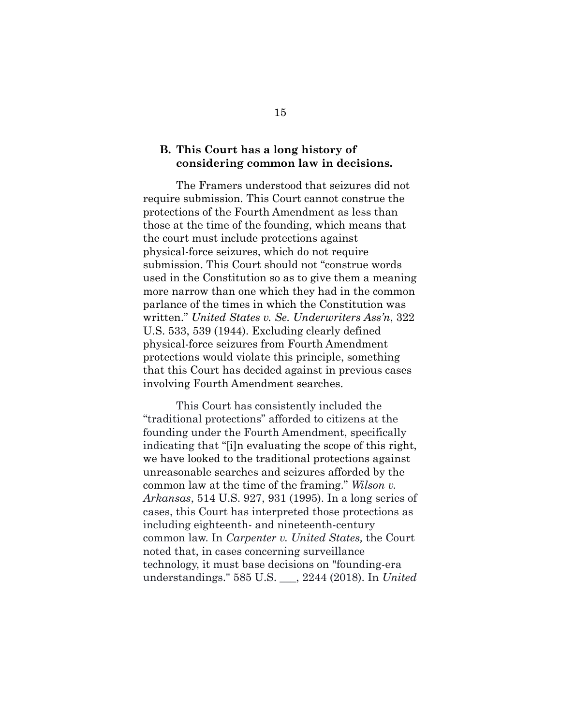### **B. This Court has a long history of considering common law in decisions.**

The Framers understood that seizures did not require submission. This Court cannot construe the protections of the Fourth Amendment as less than those at the time of the founding, which means that the court must include protections against physical-force seizures, which do not require submission. This Court should not "construe words used in the Constitution so as to give them a meaning more narrow than one which they had in the common parlance of the times in which the Constitution was written." *United States v. Se. Underwriters Ass'n*, 322 U.S. 533, 539 (1944). Excluding clearly defined physical-force seizures from Fourth Amendment protections would violate this principle, something that this Court has decided against in previous cases involving Fourth Amendment searches.

This Court has consistently included the "traditional protections" afforded to citizens at the founding under the Fourth Amendment, specifically indicating that "[i]n evaluating the scope of this right, we have looked to the traditional protections against unreasonable searches and seizures afforded by the common law at the time of the framing." *Wilson v. Arkansas*, 514 U.S. 927, 931 (1995). In a long series of cases, this Court has interpreted those protections as including eighteenth- and nineteenth-century common law. In *Carpenter v. United States,* the Court noted that, in cases concerning surveillance technology, it must base decisions on "founding-era understandings." 585 U.S. \_\_\_, 2244 (2018). In *United*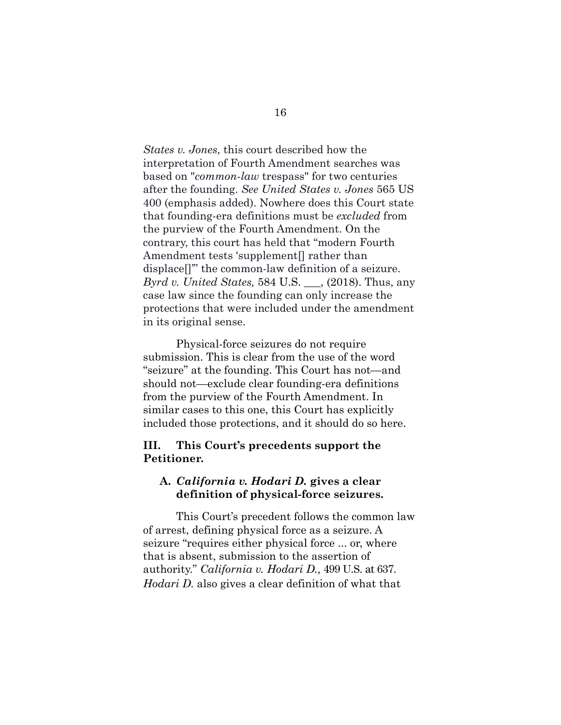*States v. Jones,* this court described how the interpretation of Fourth Amendment searches was based on "*common-law* trespass" for two centuries after the founding. *See United States v. Jones* 565 US 400 (emphasis added). Nowhere does this Court state that founding-era definitions must be *excluded* from the purview of the Fourth Amendment. On the contrary, this court has held that "modern Fourth Amendment tests 'supplement[] rather than displace[]'" the common-law definition of a seizure. *Byrd v. United States,* 584 U.S. \_\_\_, (2018). Thus, any case law since the founding can only increase the protections that were included under the amendment in its original sense.

Physical-force seizures do not require submission. This is clear from the use of the word "seizure" at the founding. This Court has not—and should not—exclude clear founding-era definitions from the purview of the Fourth Amendment. In similar cases to this one, this Court has explicitly included those protections, and it should do so here.

## **III. This Court's precedents support the Petitioner.**

### **A.** *California v. Hodari D.* **gives a clear definition of physical-force seizures.**

This Court's precedent follows the common law of arrest, defining physical force as a seizure. A seizure "requires either physical force ... or, where that is absent, submission to the assertion of authority." *California v. Hodari D.,* 499 U.S. at 637. *Hodari D.* also gives a clear definition of what that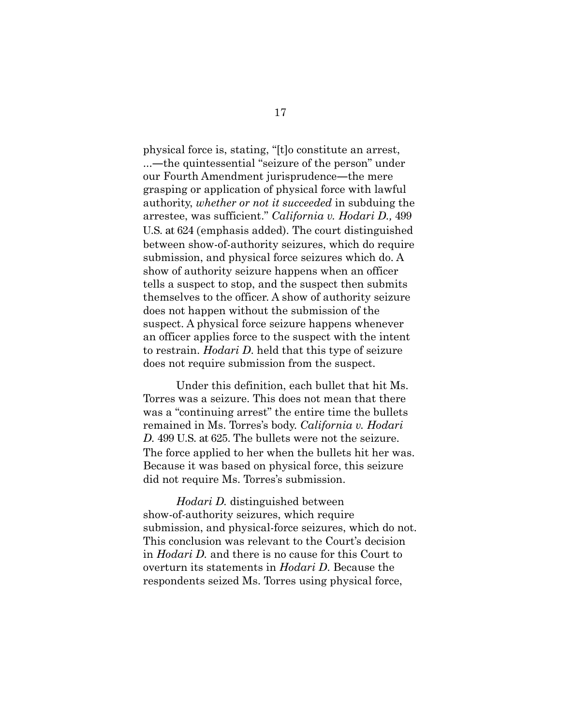physical force is, stating, "[t]o constitute an arrest, ...―the quintessential "seizure of the person" under our Fourth Amendment jurisprudence―the mere grasping or application of physical force with lawful authority, *whether or not it succeeded* in subduing the arrestee, was sufficient." *California v. Hodari D.,* 499 U.S. at 624 (emphasis added). The court distinguished between show-of-authority seizures, which do require submission, and physical force seizures which do. A show of authority seizure happens when an officer tells a suspect to stop, and the suspect then submits themselves to the officer. A show of authority seizure does not happen without the submission of the suspect. A physical force seizure happens whenever an officer applies force to the suspect with the intent to restrain. *Hodari D*. held that this type of seizure does not require submission from the suspect.

Under this definition, each bullet that hit Ms. Torres was a seizure. This does not mean that there was a "continuing arrest" the entire time the bullets remained in Ms. Torres's body. *California v. Hodari D.* 499 U.S. at 625. The bullets were not the seizure. The force applied to her when the bullets hit her was. Because it was based on physical force, this seizure did not require Ms. Torres's submission.

*Hodari D.* distinguished between show-of-authority seizures, which require submission, and physical-force seizures, which do not. This conclusion was relevant to the Court's decision in *Hodari D.* and there is no cause for this Court to overturn its statements in *Hodari D*. Because the respondents seized Ms. Torres using physical force,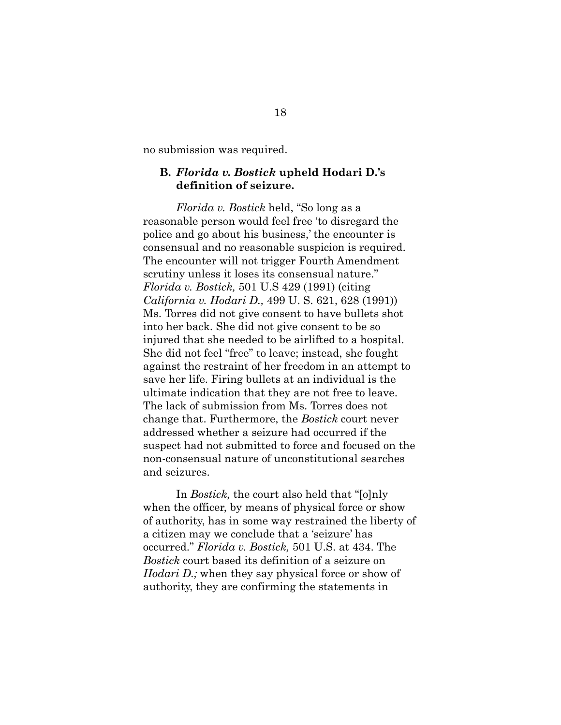no submission was required.

## **B.** *Florida v. Bostick* **upheld Hodari D.'s definition of seizure.**

*Florida v. Bostick* held, "So long as a reasonable person would feel free 'to disregard the police and go about his business,' the encounter is consensual and no reasonable suspicion is required. The encounter will not trigger Fourth Amendment scrutiny unless it loses its consensual nature." *Florida v. Bostick,* 501 U.S 429 (1991) (citing *California v. Hodari D.,* 499 U. S. 621, 628 (1991)) Ms. Torres did not give consent to have bullets shot into her back. She did not give consent to be so injured that she needed to be airlifted to a hospital. She did not feel "free" to leave; instead, she fought against the restraint of her freedom in an attempt to save her life. Firing bullets at an individual is the ultimate indication that they are not free to leave. The lack of submission from Ms. Torres does not change that. Furthermore, the *Bostick* court never addressed whether a seizure had occurred if the suspect had not submitted to force and focused on the non-consensual nature of unconstitutional searches and seizures.

In *Bostick,* the court also held that "[o]nly when the officer, by means of physical force or show of authority, has in some way restrained the liberty of a citizen may we conclude that a 'seizure' has occurred." *Florida v. Bostick,* 501 U.S. at 434. The *Bostick* court based its definition of a seizure on *Hodari D.;* when they say physical force or show of authority, they are confirming the statements in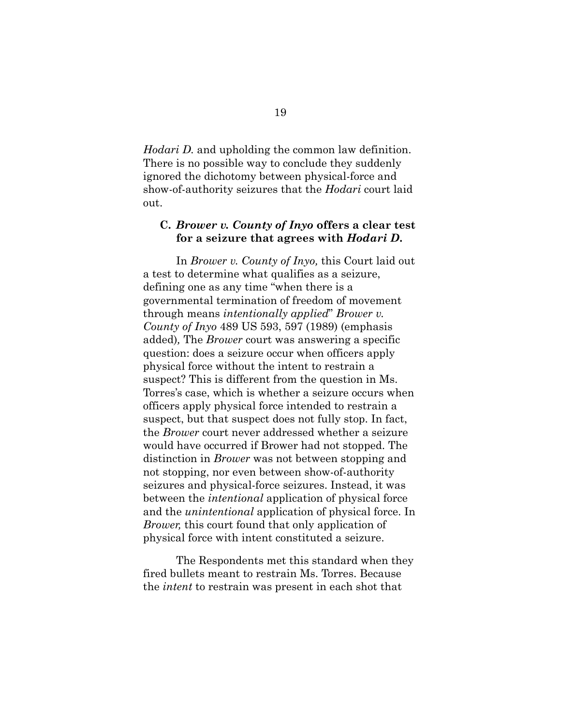*Hodari D.* and upholding the common law definition. There is no possible way to conclude they suddenly ignored the dichotomy between physical-force and show-of-authority seizures that the *Hodari* court laid out.

### **C.** *Brower v. County of Inyo* **offers a clear test for a seizure that agrees with** *Hodari D***.**

In *Brower v. County of Inyo,* this Court laid out a test to determine what qualifies as a seizure, defining one as any time "when there is a governmental termination of freedom of movement through means *intentionally applied*" *Brower v. County of Inyo* 489 US 593, 597 (1989) (emphasis added)*,* The *Brower* court was answering a specific question: does a seizure occur when officers apply physical force without the intent to restrain a suspect? This is different from the question in Ms. Torres's case, which is whether a seizure occurs when officers apply physical force intended to restrain a suspect, but that suspect does not fully stop. In fact, the *Brower* court never addressed whether a seizure would have occurred if Brower had not stopped. The distinction in *Brower* was not between stopping and not stopping, nor even between show-of-authority seizures and physical-force seizures. Instead, it was between the *intentional* application of physical force and the *unintentional* application of physical force. In *Brower,* this court found that only application of physical force with intent constituted a seizure.

The Respondents met this standard when they fired bullets meant to restrain Ms. Torres. Because the *intent* to restrain was present in each shot that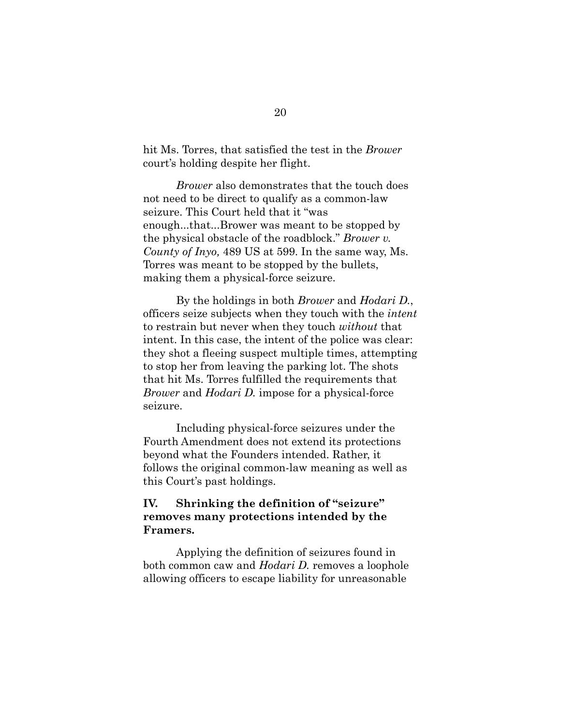hit Ms. Torres, that satisfied the test in the *Brower* court's holding despite her flight.

*Brower* also demonstrates that the touch does not need to be direct to qualify as a common-law seizure. This Court held that it "was enough...that...Brower was meant to be stopped by the physical obstacle of the roadblock." *Brower v. County of Inyo,* 489 US at 599. In the same way, Ms. Torres was meant to be stopped by the bullets, making them a physical-force seizure.

By the holdings in both *Brower* and *Hodari D.*, officers seize subjects when they touch with the *intent* to restrain but never when they touch *without* that intent. In this case, the intent of the police was clear: they shot a fleeing suspect multiple times, attempting to stop her from leaving the parking lot. The shots that hit Ms. Torres fulfilled the requirements that *Brower* and *Hodari D.* impose for a physical-force seizure.

Including physical-force seizures under the Fourth Amendment does not extend its protections beyond what the Founders intended. Rather, it follows the original common-law meaning as well as this Court's past holdings.

## **IV. Shrinking the definition of "seizure" removes many protections intended by the Framers.**

Applying the definition of seizures found in both common caw and *Hodari D.* removes a loophole allowing officers to escape liability for unreasonable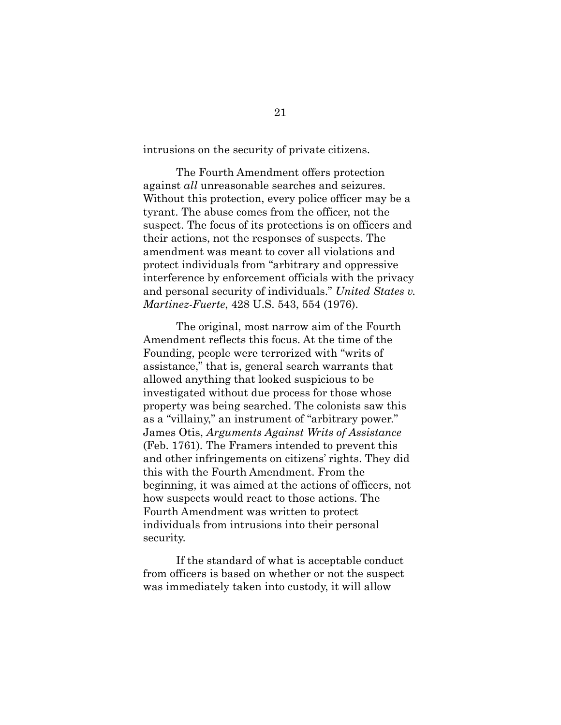intrusions on the security of private citizens.

The Fourth Amendment offers protection against *all* unreasonable searches and seizures. Without this protection, every police officer may be a tyrant. The abuse comes from the officer, not the suspect. The focus of its protections is on officers and their actions, not the responses of suspects. The amendment was meant to cover all violations and protect individuals from "arbitrary and oppressive interference by enforcement officials with the privacy and personal security of individuals." *United States v. Martinez-Fuerte*, 428 U.S. 543, 554 (1976).

The original, most narrow aim of the Fourth Amendment reflects this focus. At the time of the Founding, people were terrorized with "writs of assistance," that is, general search warrants that allowed anything that looked suspicious to be investigated without due process for those whose property was being searched. The colonists saw this as a "villainy," an instrument of "arbitrary power." James Otis, *Arguments Against Writs of Assistance* (Feb. 1761)*.* The Framers intended to prevent this and other infringements on citizens' rights. They did this with the Fourth Amendment. From the beginning, it was aimed at the actions of officers, not how suspects would react to those actions. The Fourth Amendment was written to protect individuals from intrusions into their personal security.

If the standard of what is acceptable conduct from officers is based on whether or not the suspect was immediately taken into custody, it will allow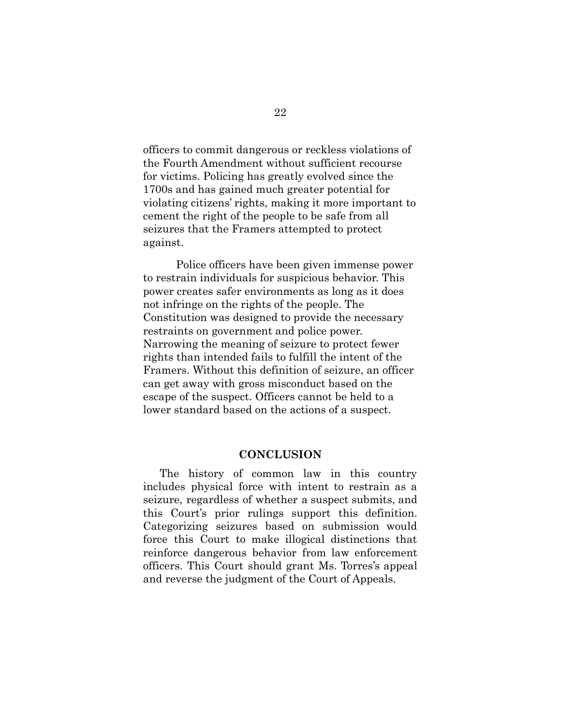officers to commit dangerous or reckless violations of the Fourth Amendment without sufficient recourse for victims. Policing has greatly evolved since the 1700s and has gained much greater potential for violating citizens' rights, making it more important to cement the right of the people to be safe from all seizures that the Framers attempted to protect against.

Police officers have been given immense power to restrain individuals for suspicious behavior. This power creates safer environments as long as it does not infringe on the rights of the people. The Constitution was designed to provide the necessary restraints on government and police power. Narrowing the meaning of seizure to protect fewer rights than intended fails to fulfill the intent of the Framers. Without this definition of seizure, an officer can get away with gross misconduct based on the escape of the suspect. Officers cannot be held to a lower standard based on the actions of a suspect.

#### **CONCLUSION**

The history of common law in this country includes physical force with intent to restrain as a seizure, regardless of whether a suspect submits, and this Court's prior rulings support this definition. Categorizing seizures based on submission would force this Court to make illogical distinctions that reinforce dangerous behavior from law enforcement officers. This Court should grant Ms. Torres's appeal and reverse the judgment of the Court of Appeals.